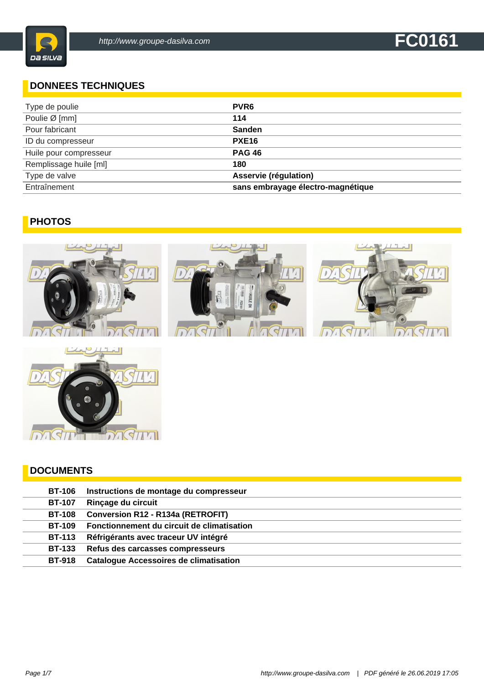#### **DONNEES TECHNIQUES**

| Type de poulie         | PVR <sub>6</sub>                  |
|------------------------|-----------------------------------|
| Poulie Ø [mm]          | 114                               |
| Pour fabricant         | Sanden                            |
| ID du compresseur      | <b>PXE16</b>                      |
| Huile pour compresseur | <b>PAG 46</b>                     |
| Remplissage huile [ml] | 180                               |
| Type de valve          | Asservie (régulation)             |
| Entraînement           | sans embrayage électro-magnétique |

### **PHOTOS**





#### **DOCUMENTS**

| <b>BT-106</b> | Instructions de montage du compresseur        |
|---------------|-----------------------------------------------|
| <b>BT-107</b> | Rinçage du circuit                            |
| <b>BT-108</b> | <b>Conversion R12 - R134a (RETROFIT)</b>      |
| <b>BT-109</b> | Fonctionnement du circuit de climatisation    |
| <b>BT-113</b> | Réfrigérants avec traceur UV intégré          |
| <b>BT-133</b> | Refus des carcasses compresseurs              |
| <b>BT-918</b> | <b>Catalogue Accessoires de climatisation</b> |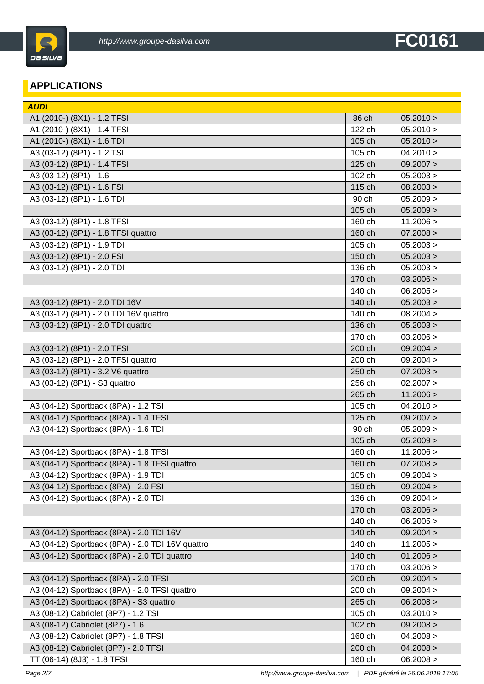

#### **APPLICATIONS**

| <b>AUDI</b>                                      |        |           |
|--------------------------------------------------|--------|-----------|
| A1 (2010-) (8X1) - 1.2 TFSI                      | 86 ch  | 05.2010 > |
| A1 (2010-) (8X1) - 1.4 TFSI                      | 122 ch | 05.2010 > |
| A1 (2010-) (8X1) - 1.6 TDI                       | 105 ch | 05.2010 > |
| A3 (03-12) (8P1) - 1.2 TSI                       | 105 ch | 04.2010 > |
| A3 (03-12) (8P1) - 1.4 TFSI                      | 125 ch | 09.2007 > |
| A3 (03-12) (8P1) - 1.6                           | 102 ch | 05.2003 > |
| A3 (03-12) (8P1) - 1.6 FSI                       | 115 ch | 08.2003 > |
| A3 (03-12) (8P1) - 1.6 TDI                       | 90 ch  | 05.2009 > |
|                                                  | 105 ch | 05.2009 > |
| A3 (03-12) (8P1) - 1.8 TFSI                      | 160 ch | 11.2006 > |
| A3 (03-12) (8P1) - 1.8 TFSI quattro              | 160 ch | 07.2008 > |
| A3 (03-12) (8P1) - 1.9 TDI                       | 105 ch | 05.2003 > |
| A3 (03-12) (8P1) - 2.0 FSI                       | 150 ch | 05.2003 > |
| A3 (03-12) (8P1) - 2.0 TDI                       | 136 ch | 05.2003 > |
|                                                  | 170 ch | 03.2006 > |
|                                                  | 140 ch | 06.2005 > |
| A3 (03-12) (8P1) - 2.0 TDI 16V                   | 140 ch | 05.2003 > |
| A3 (03-12) (8P1) - 2.0 TDI 16V quattro           | 140 ch | 08.2004 > |
| A3 (03-12) (8P1) - 2.0 TDI quattro               | 136 ch | 05.2003 > |
|                                                  | 170 ch | 03.2006 > |
| A3 (03-12) (8P1) - 2.0 TFSI                      | 200 ch | 09.2004 > |
| A3 (03-12) (8P1) - 2.0 TFSI quattro              | 200 ch | 09.2004 > |
| A3 (03-12) (8P1) - 3.2 V6 quattro                | 250 ch | 07.2003 > |
| A3 (03-12) (8P1) - S3 quattro                    | 256 ch | 02.2007 > |
|                                                  | 265 ch | 11.2006 > |
| A3 (04-12) Sportback (8PA) - 1.2 TSI             | 105 ch | 04.2010 > |
| A3 (04-12) Sportback (8PA) - 1.4 TFSI            | 125 ch | 09.2007 > |
| A3 (04-12) Sportback (8PA) - 1.6 TDI             | 90 ch  | 05.2009 > |
|                                                  | 105 ch | 05.2009 > |
| A3 (04-12) Sportback (8PA) - 1.8 TFSI            | 160 ch | 11.2006 > |
| A3 (04-12) Sportback (8PA) - 1.8 TFSI quattro    | 160 ch | 07.2008 > |
| A3 (04-12) Sportback (8PA) - 1.9 TDI             | 105 ch | 09.2004 > |
| A3 (04-12) Sportback (8PA) - 2.0 FSI             | 150 ch | 09.2004 > |
| A3 (04-12) Sportback (8PA) - 2.0 TDI             | 136 ch | 09.2004 > |
|                                                  | 170 ch | 03.2006 > |
|                                                  | 140 ch | 06.2005 > |
| A3 (04-12) Sportback (8PA) - 2.0 TDI 16V         | 140 ch | 09.2004 > |
| A3 (04-12) Sportback (8PA) - 2.0 TDI 16V quattro | 140 ch | 11.2005 > |
| A3 (04-12) Sportback (8PA) - 2.0 TDI quattro     | 140 ch | 01.2006 > |
|                                                  | 170 ch | 03.2006 > |
| A3 (04-12) Sportback (8PA) - 2.0 TFSI            | 200 ch | 09.2004 > |
| A3 (04-12) Sportback (8PA) - 2.0 TFSI quattro    | 200 ch | 09.2004 > |
| A3 (04-12) Sportback (8PA) - S3 quattro          | 265 ch | 06.2008 > |
| A3 (08-12) Cabriolet (8P7) - 1.2 TSI             | 105 ch | 03.2010 > |
| A3 (08-12) Cabriolet (8P7) - 1.6                 | 102 ch | 09.2008 > |
| A3 (08-12) Cabriolet (8P7) - 1.8 TFSI            | 160 ch | 04.2008 > |
| A3 (08-12) Cabriolet (8P7) - 2.0 TFSI            | 200 ch | 04.2008 > |
| TT (06-14) (8J3) - 1.8 TFSI                      | 160 ch | 06.2008 > |
|                                                  |        |           |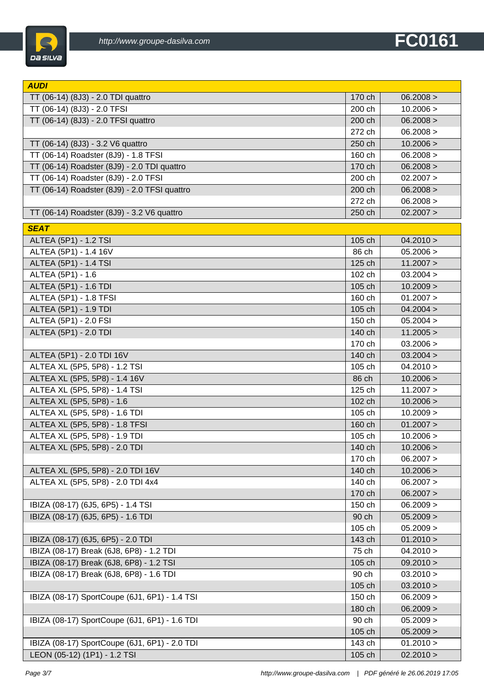

| <b>AUDI</b>                                   |        |           |
|-----------------------------------------------|--------|-----------|
| TT (06-14) (8J3) - 2.0 TDI quattro            | 170 ch | 06.2008 > |
| TT (06-14) (8J3) - 2.0 TFSI                   | 200 ch | 10.2006 > |
| TT (06-14) (8J3) - 2.0 TFSI quattro           | 200 ch | 06.2008 > |
|                                               | 272 ch | 06.2008 > |
| TT (06-14) (8J3) - 3.2 V6 quattro             | 250 ch | 10.2006 > |
| TT (06-14) Roadster (8J9) - 1.8 TFSI          | 160 ch | 06.2008 > |
| TT (06-14) Roadster (8J9) - 2.0 TDI quattro   | 170 ch | 06.2008 > |
| TT (06-14) Roadster (8J9) - 2.0 TFSI          | 200 ch | 02.2007 > |
| TT (06-14) Roadster (8J9) - 2.0 TFSI quattro  | 200 ch | 06.2008 > |
|                                               | 272 ch | 06.2008 > |
| TT (06-14) Roadster (8J9) - 3.2 V6 quattro    | 250 ch | 02.2007 > |
| <b>SEAT</b>                                   |        |           |
| ALTEA (5P1) - 1.2 TSI                         | 105 ch | 04.2010 > |
| ALTEA (5P1) - 1.4 16V                         | 86 ch  | 05.2006 > |
| <b>ALTEA (5P1) - 1.4 TSI</b>                  | 125 ch | 11.2007 > |
| ALTEA (5P1) - 1.6                             | 102 ch | 03.2004 > |
| ALTEA (5P1) - 1.6 TDI                         | 105 ch | 10.2009 > |
| <b>ALTEA (5P1) - 1.8 TFSI</b>                 | 160 ch | 01.2007 > |
| ALTEA (5P1) - 1.9 TDI                         | 105 ch | 04.2004 > |
| ALTEA (5P1) - 2.0 FSI                         | 150 ch | 05.2004 > |
| ALTEA (5P1) - 2.0 TDI                         | 140 ch | 11.2005 > |
|                                               | 170 ch | 03.2006 > |
| ALTEA (5P1) - 2.0 TDI 16V                     | 140 ch | 03.2004 > |
| ALTEA XL (5P5, 5P8) - 1.2 TSI                 | 105 ch | 04.2010 > |
| ALTEA XL (5P5, 5P8) - 1.4 16V                 | 86 ch  | 10.2006 > |
| ALTEA XL (5P5, 5P8) - 1.4 TSI                 | 125 ch | 11.2007 > |
| ALTEA XL (5P5, 5P8) - 1.6                     | 102 ch | 10.2006 > |
| ALTEA XL (5P5, 5P8) - 1.6 TDI                 | 105 ch | 10.2009 > |
| ALTEA XL (5P5, 5P8) - 1.8 TFSI                | 160 ch | 01.2007 > |
| ALTEA XL (5P5, 5P8) - 1.9 TDI                 | 105 ch | 10.2006 > |
| ALTEA XL (5P5, 5P8) - 2.0 TDI                 | 140 ch | 10.2006 > |
|                                               | 170 ch | 06.2007 > |
| ALTEA XL (5P5, 5P8) - 2.0 TDI 16V             | 140 ch | 10.2006 > |
| ALTEA XL (5P5, 5P8) - 2.0 TDI 4x4             | 140 ch | 06.2007 > |
|                                               | 170 ch | 06.2007 > |
| IBIZA (08-17) (6J5, 6P5) - 1.4 TSI            | 150 ch | 06.2009 > |
| IBIZA (08-17) (6J5, 6P5) - 1.6 TDI            | 90 ch  | 05.2009 > |
|                                               | 105 ch | 05.2009 > |
| IBIZA (08-17) (6J5, 6P5) - 2.0 TDI            | 143 ch | 01.2010 > |
| IBIZA (08-17) Break (6J8, 6P8) - 1.2 TDI      | 75 ch  | 04.2010 > |
| IBIZA (08-17) Break (6J8, 6P8) - 1.2 TSI      | 105 ch | 09.2010 > |
| IBIZA (08-17) Break (6J8, 6P8) - 1.6 TDI      | 90 ch  | 03.2010 > |
|                                               | 105 ch | 03.2010 > |
| IBIZA (08-17) SportCoupe (6J1, 6P1) - 1.4 TSI | 150 ch | 06.2009 > |
|                                               | 180 ch | 06.2009 > |
| IBIZA (08-17) SportCoupe (6J1, 6P1) - 1.6 TDI | 90 ch  | 05.2009 > |
|                                               | 105 ch | 05.2009 > |
| IBIZA (08-17) SportCoupe (6J1, 6P1) - 2.0 TDI | 143 ch | 01.2010 > |
| LEON (05-12) (1P1) - 1.2 TSI                  | 105 ch | 02.2010 > |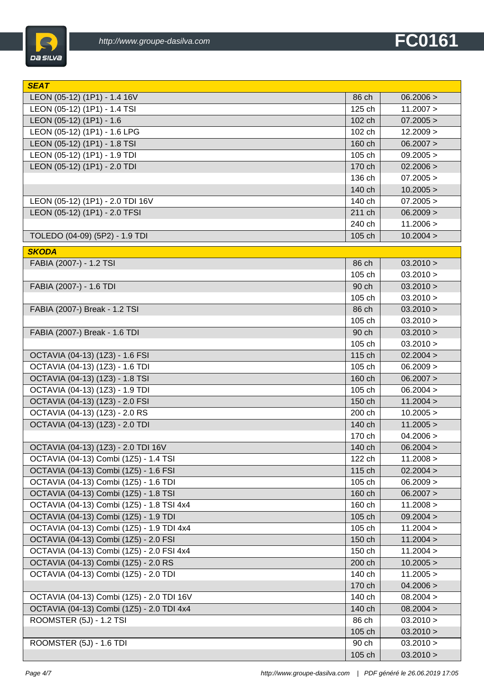

| <b>SEAT</b>                               |        |           |
|-------------------------------------------|--------|-----------|
| LEON (05-12) (1P1) - 1.4 16V              | 86 ch  | 06.2006 > |
| LEON (05-12) (1P1) - 1.4 TSI              | 125 ch | 11.2007 > |
| LEON (05-12) (1P1) - 1.6                  | 102 ch | 07.2005 > |
| LEON (05-12) (1P1) - 1.6 LPG              | 102 ch | 12.2009 > |
| LEON (05-12) (1P1) - 1.8 TSI              | 160 ch | 06.2007 > |
| LEON (05-12) (1P1) - 1.9 TDI              | 105 ch | 09.2005 > |
| LEON (05-12) (1P1) - 2.0 TDI              | 170 ch | 02.2006 > |
|                                           | 136 ch | 07.2005 > |
|                                           | 140 ch | 10.2005 > |
| LEON (05-12) (1P1) - 2.0 TDI 16V          | 140 ch | 07.2005 > |
| LEON (05-12) (1P1) - 2.0 TFSI             | 211 ch | 06.2009 > |
|                                           | 240 ch | 11.2006 > |
| TOLEDO (04-09) (5P2) - 1.9 TDI            | 105 ch | 10.2004 > |
| <b>SKODA</b>                              |        |           |
| FABIA (2007-) - 1.2 TSI                   | 86 ch  | 03.2010 > |
|                                           | 105 ch | 03.2010 > |
| FABIA (2007-) - 1.6 TDI                   | 90 ch  | 03.2010 > |
|                                           | 105 ch | 03.2010 > |
| FABIA (2007-) Break - 1.2 TSI             | 86 ch  | 03.2010 > |
|                                           | 105 ch | 03.2010 > |
| FABIA (2007-) Break - 1.6 TDI             | 90 ch  | 03.2010 > |
|                                           | 105 ch | 03.2010 > |
| OCTAVIA (04-13) (1Z3) - 1.6 FSI           | 115 ch | 02.2004 > |
| OCTAVIA (04-13) (1Z3) - 1.6 TDI           | 105 ch | 06.2009 > |
| OCTAVIA (04-13) (1Z3) - 1.8 TSI           | 160 ch | 06.2007 > |
| OCTAVIA (04-13) (1Z3) - 1.9 TDI           | 105 ch | 06.2004 > |
| OCTAVIA (04-13) (1Z3) - 2.0 FSI           | 150 ch | 11.2004 > |
| OCTAVIA (04-13) (1Z3) - 2.0 RS            | 200 ch | 10.2005 > |
| OCTAVIA (04-13) (1Z3) - 2.0 TDI           | 140 ch | 11.2005 > |
|                                           | 170 ch | 04.2006 > |
| OCTAVIA (04-13) (1Z3) - 2.0 TDI 16V       | 140 ch | 06.2004 > |
| OCTAVIA (04-13) Combi (1Z5) - 1.4 TSI     | 122 ch | 11.2008 > |
| OCTAVIA (04-13) Combi (1Z5) - 1.6 FSI     | 115 ch | 02.2004 > |
| OCTAVIA (04-13) Combi (1Z5) - 1.6 TDI     | 105 ch | 06.2009 > |
| OCTAVIA (04-13) Combi (1Z5) - 1.8 TSI     | 160 ch | 06.2007 > |
| OCTAVIA (04-13) Combi (1Z5) - 1.8 TSI 4x4 | 160 ch | 11.2008 > |
| OCTAVIA (04-13) Combi (1Z5) - 1.9 TDI     | 105 ch | 09.2004 > |
| OCTAVIA (04-13) Combi (1Z5) - 1.9 TDI 4x4 | 105 ch | 11.2004 > |
| OCTAVIA (04-13) Combi (1Z5) - 2.0 FSI     | 150 ch | 11.2004 > |
| OCTAVIA (04-13) Combi (1Z5) - 2.0 FSI 4x4 | 150 ch | 11.2004 > |
| OCTAVIA (04-13) Combi (1Z5) - 2.0 RS      | 200 ch | 10.2005 > |
| OCTAVIA (04-13) Combi (1Z5) - 2.0 TDI     | 140 ch | 11.2005 > |
|                                           | 170 ch | 04.2006 > |
| OCTAVIA (04-13) Combi (1Z5) - 2.0 TDI 16V | 140 ch | 08.2004 > |
| OCTAVIA (04-13) Combi (1Z5) - 2.0 TDI 4x4 | 140 ch | 08.2004 > |
| ROOMSTER (5J) - 1.2 TSI                   | 86 ch  | 03.2010 > |
|                                           | 105 ch | 03.2010 > |
| ROOMSTER (5J) - 1.6 TDI                   | 90 ch  | 03.2010 > |
|                                           | 105 ch | 03.2010 > |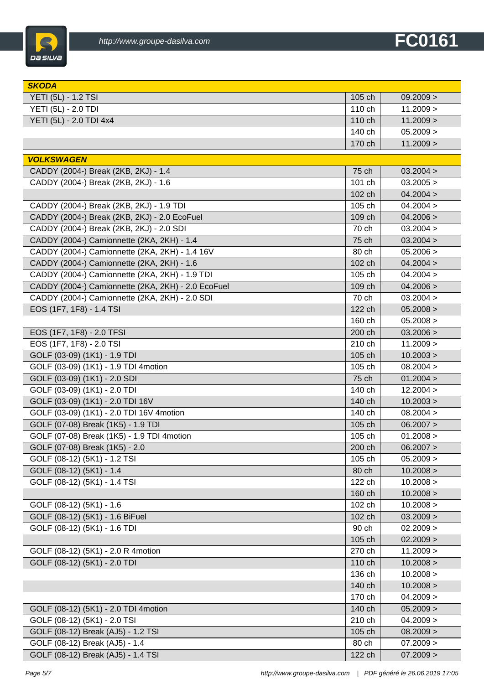

| <b>SKODA</b>                                       |        |           |
|----------------------------------------------------|--------|-----------|
| YETI (5L) - 1.2 TSI                                | 105 ch | 09.2009 > |
| YETI (5L) - 2.0 TDI                                | 110 ch | 11.2009 > |
| YETI (5L) - 2.0 TDI 4x4                            | 110 ch | 11.2009 > |
|                                                    | 140 ch | 05.2009 > |
|                                                    | 170 ch | 11.2009 > |
| <b>VOLKSWAGEN</b>                                  |        |           |
| CADDY (2004-) Break (2KB, 2KJ) - 1.4               | 75 ch  | 03.2004 > |
| CADDY (2004-) Break (2KB, 2KJ) - 1.6               | 101 ch | 03.2005 > |
|                                                    | 102 ch | 04.2004 > |
| CADDY (2004-) Break (2KB, 2KJ) - 1.9 TDI           | 105 ch | 04.2004 > |
| CADDY (2004-) Break (2KB, 2KJ) - 2.0 EcoFuel       | 109 ch | 04.2006 > |
| CADDY (2004-) Break (2KB, 2KJ) - 2.0 SDI           | 70 ch  | 03.2004 > |
| CADDY (2004-) Camionnette (2KA, 2KH) - 1.4         | 75 ch  | 03.2004 > |
| CADDY (2004-) Camionnette (2KA, 2KH) - 1.4 16V     | 80 ch  | 05.2006 > |
| CADDY (2004-) Camionnette (2KA, 2KH) - 1.6         | 102 ch | 04.2004 > |
| CADDY (2004-) Camionnette (2KA, 2KH) - 1.9 TDI     | 105 ch | 04.2004 > |
| CADDY (2004-) Camionnette (2KA, 2KH) - 2.0 EcoFuel | 109 ch | 04.2006 > |
| CADDY (2004-) Camionnette (2KA, 2KH) - 2.0 SDI     | 70 ch  | 03.2004 > |
| EOS (1F7, 1F8) - 1.4 TSI                           | 122 ch | 05.2008 > |
|                                                    | 160 ch | 05.2008 > |
| EOS (1F7, 1F8) - 2.0 TFSI                          | 200 ch | 03.2006 > |
| EOS (1F7, 1F8) - 2.0 TSI                           | 210 ch | 11.2009 > |
| GOLF (03-09) (1K1) - 1.9 TDI                       | 105 ch | 10.2003 > |
| GOLF (03-09) (1K1) - 1.9 TDI 4motion               | 105 ch | 08.2004 > |
| GOLF (03-09) (1K1) - 2.0 SDI                       | 75 ch  | 01.2004 > |
| GOLF (03-09) (1K1) - 2.0 TDI                       | 140 ch | 12.2004 > |
| GOLF (03-09) (1K1) - 2.0 TDI 16V                   | 140 ch | 10.2003 > |
| GOLF (03-09) (1K1) - 2.0 TDI 16V 4motion           | 140 ch | 08.2004 > |
| GOLF (07-08) Break (1K5) - 1.9 TDI                 | 105 ch | 06.2007 > |
| GOLF (07-08) Break (1K5) - 1.9 TDI 4motion         | 105 ch | 01.2008 > |
| GOLF (07-08) Break (1K5) - 2.0                     | 200 ch | 06.2007 > |
| GOLF (08-12) (5K1) - 1.2 TSI                       | 105 ch | 05.2009 > |
| GOLF (08-12) (5K1) - 1.4                           | 80 ch  | 10.2008 > |
| GOLF (08-12) (5K1) - 1.4 TSI                       | 122 ch | 10.2008 > |
|                                                    | 160 ch | 10.2008 > |
| GOLF (08-12) (5K1) - 1.6                           | 102 ch | 10.2008 > |
| GOLF (08-12) (5K1) - 1.6 BiFuel                    | 102 ch | 03.2009 > |
| GOLF (08-12) (5K1) - 1.6 TDI                       | 90 ch  | 02.2009 > |
|                                                    | 105 ch | 02.2009 > |
| GOLF (08-12) (5K1) - 2.0 R 4motion                 | 270 ch | 11.2009 > |
| GOLF (08-12) (5K1) - 2.0 TDI                       | 110 ch | 10.2008 > |
|                                                    | 136 ch | 10.2008 > |
|                                                    | 140 ch | 10.2008 > |
|                                                    | 170 ch | 04.2009 > |
| GOLF (08-12) (5K1) - 2.0 TDI 4motion               | 140 ch | 05.2009 > |
| GOLF (08-12) (5K1) - 2.0 TSI                       | 210 ch | 04.2009 > |
| GOLF (08-12) Break (AJ5) - 1.2 TSI                 | 105 ch | 08.2009 > |
| GOLF (08-12) Break (AJ5) - 1.4                     | 80 ch  | 07.2009 > |
| GOLF (08-12) Break (AJ5) - 1.4 TSI                 | 122 ch | 07.2009 > |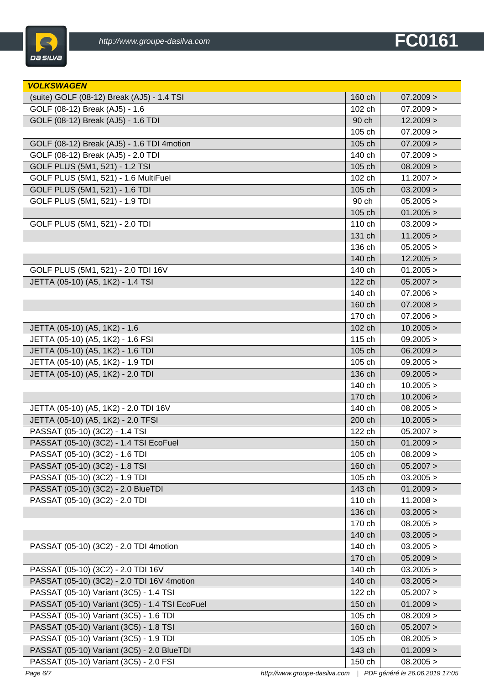

| <b>VOLKSWAGEN</b>                              |        |           |
|------------------------------------------------|--------|-----------|
| (suite) GOLF (08-12) Break (AJ5) - 1.4 TSI     | 160 ch | 07.2009 > |
| GOLF (08-12) Break (AJ5) - 1.6                 | 102 ch | 07.2009 > |
| GOLF (08-12) Break (AJ5) - 1.6 TDI             | 90 ch  | 12.2009 > |
|                                                | 105 ch | 07.2009 > |
| GOLF (08-12) Break (AJ5) - 1.6 TDI 4motion     | 105 ch | 07.2009 > |
| GOLF (08-12) Break (AJ5) - 2.0 TDI             | 140 ch | 07.2009 > |
| GOLF PLUS (5M1, 521) - 1.2 TSI                 | 105 ch | 08.2009 > |
| GOLF PLUS (5M1, 521) - 1.6 MultiFuel           | 102 ch | 11.2007 > |
| GOLF PLUS (5M1, 521) - 1.6 TDI                 | 105 ch | 03.2009 > |
| GOLF PLUS (5M1, 521) - 1.9 TDI                 | 90 ch  | 05.2005 > |
|                                                | 105 ch | 01.2005 > |
| GOLF PLUS (5M1, 521) - 2.0 TDI                 | 110 ch | 03.2009 > |
|                                                | 131 ch | 11.2005 > |
|                                                | 136 ch | 05.2005 > |
|                                                | 140 ch | 12.2005 > |
| GOLF PLUS (5M1, 521) - 2.0 TDI 16V             | 140 ch | 01.2005 > |
| JETTA (05-10) (A5, 1K2) - 1.4 TSI              | 122 ch | 05.2007 > |
|                                                | 140 ch | 07.2006 > |
|                                                | 160 ch | 07.2008 > |
|                                                | 170 ch | 07.2006 > |
| JETTA (05-10) (A5, 1K2) - 1.6                  | 102 ch | 10.2005 > |
| JETTA (05-10) (A5, 1K2) - 1.6 FSI              | 115 ch | 09.2005 > |
| JETTA (05-10) (A5, 1K2) - 1.6 TDI              | 105 ch | 06.2009 > |
| JETTA (05-10) (A5, 1K2) - 1.9 TDI              | 105 ch | 09.2005 > |
| JETTA (05-10) (A5, 1K2) - 2.0 TDI              | 136 ch | 09.2005 > |
|                                                | 140 ch | 10.2005 > |
|                                                | 170 ch | 10.2006 > |
| JETTA (05-10) (A5, 1K2) - 2.0 TDI 16V          | 140 ch | 08.2005 > |
| JETTA (05-10) (A5, 1K2) - 2.0 TFSI             | 200 ch | 10.2005 > |
| PASSAT (05-10) (3C2) - 1.4 TSI                 | 122 ch | 05.2007 > |
| PASSAT (05-10) (3C2) - 1.4 TSI EcoFuel         | 150 ch | 01.2009 > |
| PASSAT (05-10) (3C2) - 1.6 TDI                 | 105 ch | 08.2009 > |
| PASSAT (05-10) (3C2) - 1.8 TSI                 | 160 ch | 05.2007 > |
| PASSAT (05-10) (3C2) - 1.9 TDI                 | 105 ch | 03.2005 > |
| PASSAT (05-10) (3C2) - 2.0 BlueTDI             | 143 ch | 01.2009 > |
| PASSAT (05-10) (3C2) - 2.0 TDI                 | 110 ch | 11.2008 > |
|                                                | 136 ch | 03.2005 > |
|                                                | 170 ch | 08.2005 > |
|                                                | 140 ch | 03.2005 > |
| PASSAT (05-10) (3C2) - 2.0 TDI 4motion         | 140 ch | 03.2005 > |
|                                                | 170 ch | 05.2009 > |
| PASSAT (05-10) (3C2) - 2.0 TDI 16V             | 140 ch | 03.2005 > |
| PASSAT (05-10) (3C2) - 2.0 TDI 16V 4motion     | 140 ch | 03.2005 > |
| PASSAT (05-10) Variant (3C5) - 1.4 TSI         | 122 ch | 05.2007 > |
| PASSAT (05-10) Variant (3C5) - 1.4 TSI EcoFuel | 150 ch | 01.2009 > |
| PASSAT (05-10) Variant (3C5) - 1.6 TDI         | 105 ch | 08.2009 > |
| PASSAT (05-10) Variant (3C5) - 1.8 TSI         | 160 ch | 05.2007 > |
| PASSAT (05-10) Variant (3C5) - 1.9 TDI         | 105 ch | 08.2005 > |
| PASSAT (05-10) Variant (3C5) - 2.0 BlueTDI     | 143 ch | 01.2009 > |
| PASSAT (05-10) Variant (3C5) - 2.0 FSI         | 150 ch | 08.2005 > |